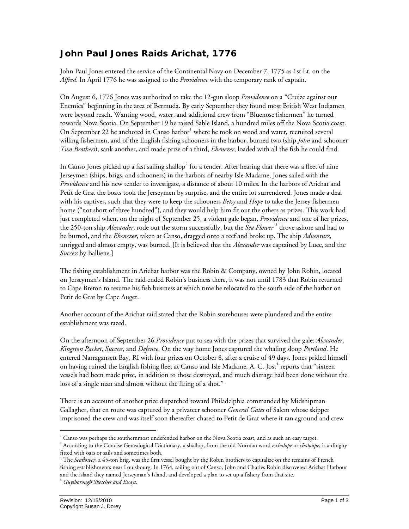## **John Paul Jones Raids Arichat, 1776**

John Paul Jones entered the service of the Continental Navy on December 7, 1775 as 1st Lt. on the *Alfred*. In April 1776 he was assigned to the *Providence* with the temporary rank of captain.

On August 6, 1776 Jones was authorized to take the 12-gun sloop *Providence* on a "Cruize against our Enemies" beginning in the area of Bermuda. By early September they found most British West Indiamen were beyond reach. Wanting wood, water, and additional crew from "Bluenose fishermen" he turned towards Nova Scotia. On September 19 he raised Sable Island, a hundred miles off the Nova Scotia coast. On September 22 he anchored in Canso harbor $^1$  $^1$  where he took on wood and water, recruited several willing fishermen, and of the English fishing schooners in the harbor, burned two (ship *John* and schooner *Two Brothers*), sank another, and made prize of a third, *Ebenezer*, loaded with all the fish he could find.

In Canso Jones picked up a fast sailing shallop $^2$  $^2$  for a tender. After hearing that there was a fleet of nine Jerseymen (ships, brigs, and schooners) in the harbors of nearby Isle Madame, Jones sailed with the *Providence* and his new tender to investigate, a distance of about 10 miles. In the harbors of Arichat and Petit de Grat the boats took the Jerseymen by surprise, and the entire lot surrendered. Jones made a deal with his captives, such that they were to keep the schooners *Betsy* and *Hope* to take the Jersey fishermen home ("not short of three hundred"), and they would help him fit out the others as prizes. This work had just completed when, on the night of September 25, a violent gale began. *Providence* and one of her prizes, the 250-ton ship *Alexander*, rode out the storm successfully, but the *Sea Flower* [3](#page-0-2) drove ashore and had to be burned, and the *Ebenezer*, taken at Canso, dragged onto a reef and broke up. The ship *Adventure*, unrigged and almost empty, was burned. [It is believed that the *Alexander* was captained by Luce, and the *Success* by Balliene.]

The fishing establishment in Arichat harbor was the Robin & Company, owned by John Robin, located on Jerseyman's Island. The raid ended Robin's business there, it was not until 1783 that Robin returned to Cape Breton to resume his fish business at which time he relocated to the south side of the harbor on Petit de Grat by Cape Auget.

Another account of the Arichat raid stated that the Robin storehouses were plundered and the entire establishment was razed.

On the afternoon of September 26 *Providence* put to sea with the prizes that survived the gale: *Alexander*, *Kingston Packet*, *Success*, and *Defence*. On the way home Jones captured the whaling sloop *Portland*. He entered Narragansett Bay, RI with four prizes on October 8, after a cruise of 49 days. Jones prided himself on having ruined the English fishing fleet at Canso and Isle Madame. A. C. Jost $^{\rm 4}$  $^{\rm 4}$  $^{\rm 4}$  reports that "sixteen vessels had been made prize, in addition to those destroyed, and much damage had been done without the loss of a single man and almost without the firing of a shot."

There is an account of another prize dispatched toward Philadelphia commanded by Midshipman Gallagher, that en route was captured by a privateer schooner *General Gates* of Salem whose skipper imprisoned the crew and was itself soon thereafter chased to Petit de Grat where it ran aground and crew

j 1 Canso was perhaps the southernmost undefended harbor on the Nova Scotia coast, and as such an easy target.

<span id="page-0-1"></span><span id="page-0-0"></span><sup>2</sup> According to the Concise Genealogical Dictionary, a shallop, from the old Norman word *eschalope* or *chaloupe*, is a dinghy fitted with oars or sails and sometimes both.

<span id="page-0-2"></span><sup>&</sup>lt;sup>3</sup> The *Seaflower*, a 45-ton brig, was the first vessel bought by the Robin brothers to capitalize on the remains of French fishing establishments near Louisbourg. In 1764, sailing out of Canso, John and Charles Robin discovered Arichat Harbour and the island they named Jerseyman's Island, and developed a plan to set up a fishery from that site. 4

<span id="page-0-3"></span>*Guysborough Sketches and Essays*.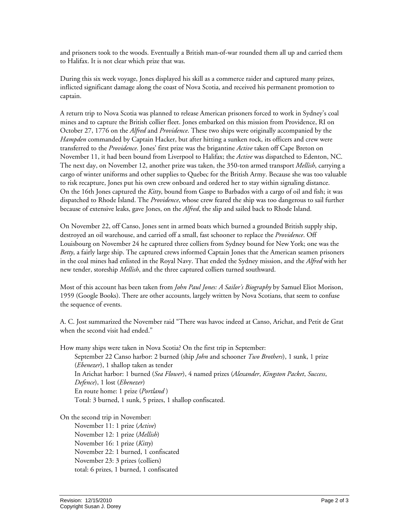and prisoners took to the woods. Eventually a British man-of-war rounded them all up and carried them to Halifax. It is not clear which prize that was.

During this six week voyage, Jones displayed his skill as a commerce raider and captured many prizes, inflicted significant damage along the coast of Nova Scotia, and received his permanent promotion to captain.

A return trip to Nova Scotia was planned to release American prisoners forced to work in Sydney's coal mines and to capture the British collier fleet. Jones embarked on this mission from Providence, RI on October 27, 1776 on the *Alfred* and *Providence*. These two ships were originally accompanied by the *Hampden* commanded by Captain Hacker, but after hitting a sunken rock, its officers and crew were transferred to the *Providence*. Jones' first prize was the brigantine *Active* taken off Cape Breton on November 11, it had been bound from Liverpool to Halifax; the *Active* was dispatched to Edenton, NC. The next day, on November 12, another prize was taken, the 350-ton armed transport *Mellish*, carrying a cargo of winter uniforms and other supplies to Quebec for the British Army. Because she was too valuable to risk recapture, Jones put his own crew onboard and ordered her to stay within signaling distance. On the 16th Jones captured the *Kitty*, bound from Gaspe to Barbados with a cargo of oil and fish; it was dispatched to Rhode Island. The *Providence*, whose crew feared the ship was too dangerous to sail further because of extensive leaks, gave Jones, on the *Alfred*, the slip and sailed back to Rhode Island.

On November 22, off Canso, Jones sent in armed boats which burned a grounded British supply ship, destroyed an oil warehouse, and carried off a small, fast schooner to replace the *Providence*. Off Louisbourg on November 24 he captured three colliers from Sydney bound for New York; one was the *Betty*, a fairly large ship. The captured crews informed Captain Jones that the American seamen prisoners in the coal mines had enlisted in the Royal Navy. That ended the Sydney mission, and the *Alfred* with her new tender, storeship *Mellish*, and the three captured colliers turned southward.

Most of this account has been taken from *John Paul Jones: A Sailor's Biography* by Samuel Eliot Morison, 1959 (Google Books). There are other accounts, largely written by Nova Scotians, that seem to confuse the sequence of events.

A. C. Jost summarized the November raid "There was havoc indeed at Canso, Arichat, and Petit de Grat when the second visit had ended."

How many ships were taken in Nova Scotia? On the first trip in September:

September 22 Canso harbor: 2 burned (ship *John* and schooner *Two Brothers*), 1 sunk, 1 prize (*Ebenezer*), 1 shallop taken as tender In Arichat harbor: 1 burned (*Sea Flower*), 4 named prizes (*Alexander*, *Kingston Packet*, *Success*, *Defence*), 1 lost (*Ebenezer*) En route home: 1 prize (*Portland* ) Total: 3 burned, 1 sunk, 5 prizes, 1 shallop confiscated.

On the second trip in November:

November 11: 1 prize (*Active*) November 12: 1 prize (*Mellish*) November 16: 1 prize (*Kitty*) November 22: 1 burned, 1 confiscated November 23: 3 prizes (colliers) total: 6 prizes, 1 burned, 1 confiscated